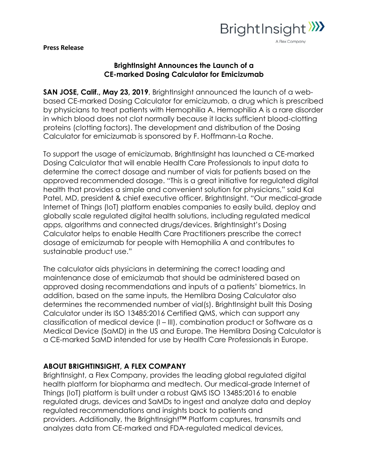

**Press Release** 

## **BrightInsight Announces the Launch of a CE-marked Dosing Calculator for Emicizumab**

**SAN JOSE, Calif., May 23, 2019**, BrightInsight announced the launch of a webbased CE-marked Dosing Calculator for emicizumab, a drug which is prescribed by physicians to treat patients with Hemophilia A. Hemophilia A is a rare disorder in which blood does not clot normally because it lacks sufficient blood-clotting proteins (clotting factors). The development and distribution of the Dosing Calculator for emicizumab is sponsored by F. Hoffmann-La Roche.

To support the usage of emicizumab, BrightInsight has launched a CE-marked Dosing Calculator that will enable Health Care Professionals to input data to determine the correct dosage and number of vials for patients based on the approved recommended dosage. "This is a great initiative for regulated digital health that provides a simple and convenient solution for physicians," said Kal Patel, MD, president & chief executive officer, BrightInsight. "Our medical-grade Internet of Things (IoT) platform enables companies to easily build, deploy and globally scale regulated digital health solutions, including regulated medical apps, algorithms and connected drugs/devices. BrightInsight's Dosing Calculator helps to enable Health Care Practitioners prescribe the correct dosage of emicizumab for people with Hemophilia A and contributes to sustainable product use."

The calculator aids physicians in determining the correct loading and maintenance dose of emicizumab that should be administered based on approved dosing recommendations and inputs of a patients' biometrics. In addition, based on the same inputs, the Hemlibra Dosing Calculator also determines the recommended number of vial(s). BrightInsight built this Dosing Calculator under its ISO 13485:2016 Certified QMS, which can support any classification of medical device (I – III), combination product or Software as a Medical Device (SaMD) in the US and Europe. The Hemlibra Dosing Calculator is a CE-marked SaMD intended for use by Health Care Professionals in Europe.

## **ABOUT BRIGHTINSIGHT, A FLEX COMPANY**

BrightInsight, a Flex Company, provides the leading global regulated digital health platform for biopharma and medtech. Our medical-grade Internet of Things (IoT) platform is built under a robust QMS ISO 13485:2016 to enable regulated drugs, devices and SaMDs to ingest and analyze data and deploy regulated recommendations and insights back to patients and providers. Additionally, the BrightInsight™ Platform captures, transmits and analyzes data from CE-marked and FDA-regulated medical devices,